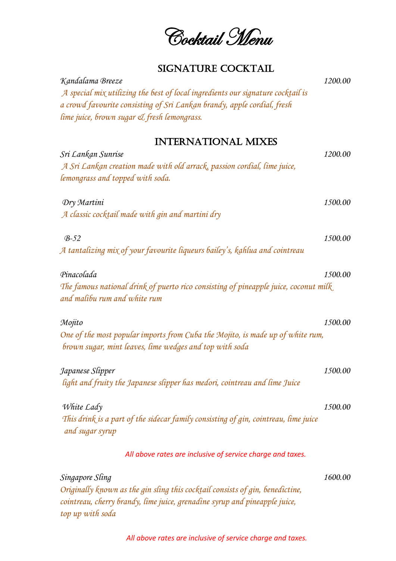Cocktail Menu

### SIGNATURE COCKTAIL

| SIGINATURE COCRTAIL                                                                                                                                                                                |         |
|----------------------------------------------------------------------------------------------------------------------------------------------------------------------------------------------------|---------|
| Kandalama Breeze<br>A special mix utilizing the best of local ingredients our signature cocktail is<br>a crowd favourite consisting of Sri Lankan brandy, apple cordial, fresh                     | 1200.00 |
| lime juice, brown sugar & fresh lemongrass.                                                                                                                                                        |         |
| <b>INTERNATIONAL MIXES</b>                                                                                                                                                                         |         |
| Sri Lankan Sunrise<br>A Sri Lankan creation made with old arrack, passion cordial, lime juice,<br>lemongrass and topped with soda.                                                                 | 1200.00 |
| Dry Martini<br>A classic cocktail made with gin and martini dry                                                                                                                                    | 1500.00 |
| $B-52$<br>A tantalizing mix of your favourite liqueurs bailey's, kahlua and cointreau                                                                                                              | 1500.00 |
| Pinacolada<br>The famous national drink of puerto rico consisting of pineapple juice, coconut milk<br>and malibu rum and white rum                                                                 | 1500.00 |
| Mojito<br>One of the most popular imports from Cuba the Mojito, is made up of white rum,<br>brown sugar, mint leaves, lime wedges and top with soda                                                | 1500.00 |
| Japanese Slipper<br>light and fruity the Japanese slipper has medori, cointreau and lime Juice                                                                                                     | 1500.00 |
| White Lady<br>This drink is a part of the sidecar family consisting of gin, cointreau, lime juice<br>and sugar syrup                                                                               | 1500.00 |
| All above rates are inclusive of service charge and taxes.                                                                                                                                         |         |
| Singapore Sling<br>Originally known as the gin sling this cocktail consists of gin, benedictine,<br>cointreau, cherry brandy, lime juice, grenadine syrup and pineapple juice,<br>top up with soda | 1600.00 |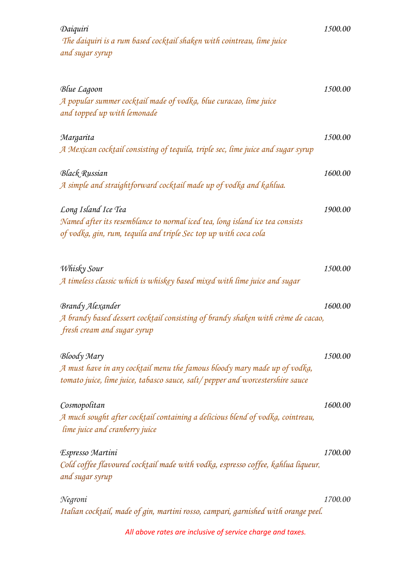| Daiquiri<br>The daiquiri is a rum based cocktail shaken with cointreau, lime juice<br>and sugar syrup           | 1500.00 |
|-----------------------------------------------------------------------------------------------------------------|---------|
|                                                                                                                 | 1500.00 |
| Blue Lagoon<br>A popular summer cocktail made of vodka, blue curacao, lime juice<br>and topped up with lemonade |         |
| Margarita                                                                                                       | 1500.00 |
| A Mexican cocktail consisting of tequila, triple sec, lime juice and sugar syrup                                |         |
| <b>Black Russian</b>                                                                                            | 1600.00 |
| A simple and straightforward cocktail made up of vodka and kahlua.                                              |         |
| Long Island Ice Tea                                                                                             | 1900.00 |
| Named after its resemblance to normal iced tea, long island ice tea consists                                    |         |
| of vodka, gin, rum, tequila and triple Sec top up with coca cola                                                |         |
| Whisky Sour                                                                                                     | 1500.00 |
| A timeless classic which is whiskey based mixed with lime juice and sugar                                       |         |
| Brandy Alexander                                                                                                | 1600.00 |
| A brandy based dessert cocktail consisting of brandy shaken with crème de cacao,                                |         |
| fresh cream and sugar syrup                                                                                     |         |
| Bloody Mary                                                                                                     | 1500.00 |
| A must have in any cocktail menu the famous bloody mary made up of vodka,                                       |         |
| tomato juice, lime juice, tabasco sauce, salt/pepper and worcestershire sauce                                   |         |
| Cosmopolitan                                                                                                    | 1600.00 |
| A much sought after cocktail containing a delicious blend of vodka, cointreau,                                  |         |
| lime juice and cranberry juice                                                                                  |         |
| Espresso Martini                                                                                                | 1700.00 |
| Cold coffee flavoured cocktail made with vodka, espresso coffee, kahlua liqueur,<br>and sugar syrup             |         |
| Negroni                                                                                                         | 1700.00 |
| Italian cocktail, made of gin, martini rosso, campari, garnished with orange peel.                              |         |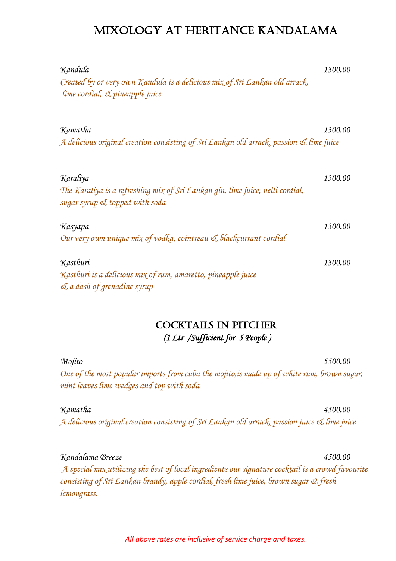### Mixology at heritance kandalama

| Kandula<br>Created by or very own Kandula is a delicious mix of Sri Lankan old arrack,<br>$\lim$ e cordial, $\mathcal{I}$ pineapple juice | 1300.00 |
|-------------------------------------------------------------------------------------------------------------------------------------------|---------|
| Kamatha<br>A delicious original creation consisting of Sri Lankan old arrack, passion & lime juice                                        | 1300.00 |
| Karaliya<br>The Karaliya is a refreshing mix of Sri Lankan gin, lime juice, nelli cordial,<br>sugar syrup & topped with soda              | 1300.00 |
| Kasyapa<br>Our very own unique mix of vodka, cointreau & blackcurrant cordial                                                             | 1300.00 |
| Kasthuri<br>Kasthuri is a delicious mix of rum, amaretto, pineapple juice<br>$\mathcal{A}$ a dash of grenadine syrup                      | 1300.00 |

#### COCKTAILS IN PITCHER  *(1 Ltr /Sufficient for 5 People )*

*Mojito 5500.00 One of the most popular imports from cuba the mojito,is made up of white rum, brown sugar, mint leaves lime wedges and top with soda*

*Kamatha 4500.00 A delicious original creation consisting of Sri Lankan old arrack, passion juice & lime juice*

*Kandalama Breeze 4500.00 A special mix utilizing the best of local ingredients our signature cocktail is a crowd favourite consisting of Sri Lankan brandy, apple cordial, fresh lime juice, brown sugar & fresh lemongrass.*